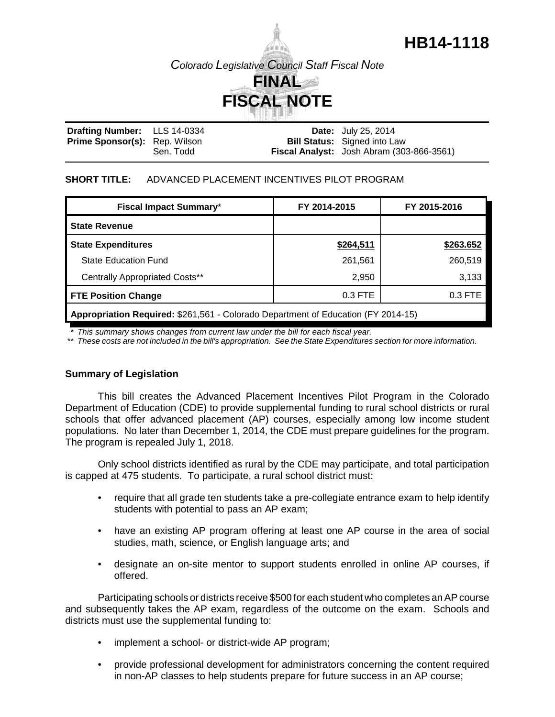# **HB14-1118**

*Colorado Legislative Council Staff Fiscal Note*



**Drafting Number:** Prime Sponsor(s): Rep. Wilson LLS 14-0334 Sen. Todd **Date:** July 25, 2014 **Bill Status:** Signed into Law **Fiscal Analyst:** Josh Abram (303-866-3561)

### **SHORT TITLE:** ADVANCED PLACEMENT INCENTIVES PILOT PROGRAM

| <b>Fiscal Impact Summary*</b>                                                            | FY 2014-2015 | FY 2015-2016 |  |  |
|------------------------------------------------------------------------------------------|--------------|--------------|--|--|
| <b>State Revenue</b>                                                                     |              |              |  |  |
| <b>State Expenditures</b>                                                                | \$264,511    | \$263.652    |  |  |
| <b>State Education Fund</b>                                                              | 261,561      | 260,519      |  |  |
| Centrally Appropriated Costs**                                                           | 2,950        | 3,133        |  |  |
| <b>FTE Position Change</b>                                                               | $0.3$ FTE    | $0.3$ FTE    |  |  |
| <b>Appropriation Required: \$261,561 - Colorado Department of Education (FY 2014-15)</b> |              |              |  |  |

*\* This summary shows changes from current law under the bill for each fiscal year.* 

*\*\* These costs are not included in the bill's appropriation. See the State Expenditures section for more information.*

### **Summary of Legislation**

This bill creates the Advanced Placement Incentives Pilot Program in the Colorado Department of Education (CDE) to provide supplemental funding to rural school districts or rural schools that offer advanced placement (AP) courses, especially among low income student populations. No later than December 1, 2014, the CDE must prepare guidelines for the program. The program is repealed July 1, 2018.

Only school districts identified as rural by the CDE may participate, and total participation is capped at 475 students. To participate, a rural school district must:

- require that all grade ten students take a pre-collegiate entrance exam to help identify students with potential to pass an AP exam;
- have an existing AP program offering at least one AP course in the area of social studies, math, science, or English language arts; and
- designate an on-site mentor to support students enrolled in online AP courses, if offered.

Participating schools or districts receive \$500 for each student who completes an AP course and subsequently takes the AP exam, regardless of the outcome on the exam. Schools and districts must use the supplemental funding to:

- implement a school- or district-wide AP program;
- provide professional development for administrators concerning the content required in non-AP classes to help students prepare for future success in an AP course;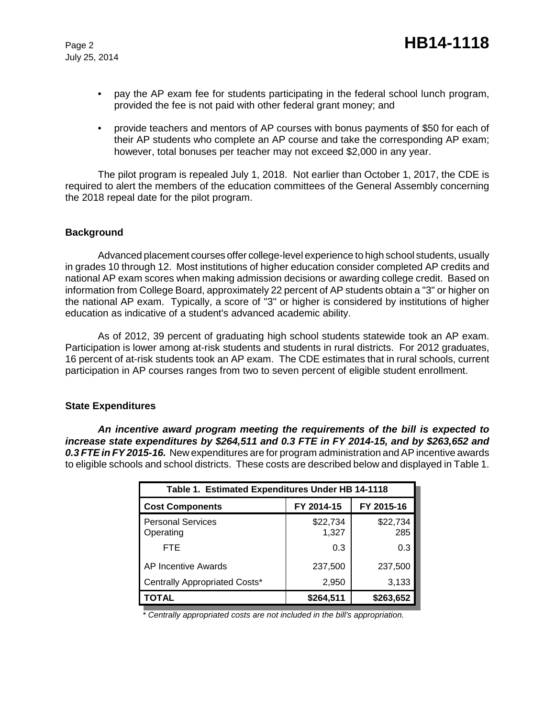July 25, 2014

- pay the AP exam fee for students participating in the federal school lunch program, provided the fee is not paid with other federal grant money; and
- provide teachers and mentors of AP courses with bonus payments of \$50 for each of their AP students who complete an AP course and take the corresponding AP exam; however, total bonuses per teacher may not exceed \$2,000 in any year.

The pilot program is repealed July 1, 2018. Not earlier than October 1, 2017, the CDE is required to alert the members of the education committees of the General Assembly concerning the 2018 repeal date for the pilot program.

### **Background**

Advanced placement courses offer college-level experience to high school students, usually in grades 10 through 12. Most institutions of higher education consider completed AP credits and national AP exam scores when making admission decisions or awarding college credit. Based on information from College Board, approximately 22 percent of AP students obtain a "3" or higher on the national AP exam. Typically, a score of "3" or higher is considered by institutions of higher education as indicative of a student's advanced academic ability.

As of 2012, 39 percent of graduating high school students statewide took an AP exam. Participation is lower among at-risk students and students in rural districts. For 2012 graduates, 16 percent of at-risk students took an AP exam. The CDE estimates that in rural schools, current participation in AP courses ranges from two to seven percent of eligible student enrollment.

### **State Expenditures**

*An incentive award program meeting the requirements of the bill is expected to increase state expenditures by \$264,511 and 0.3 FTE in FY 2014-15, and by \$263,652 and 0.3 FTE in FY 2015-16.* New expenditures are for program administration and AP incentive awards to eligible schools and school districts. These costs are described below and displayed in Table 1.

| Table 1. Estimated Expenditures Under HB 14-1118 |                   |                 |  |  |
|--------------------------------------------------|-------------------|-----------------|--|--|
| <b>Cost Components</b>                           | FY 2014-15        | FY 2015-16      |  |  |
| <b>Personal Services</b><br>perating             | \$22,734<br>1,327 | \$22,734<br>285 |  |  |
| FTE.                                             | 0.3               | 0.3             |  |  |
| AP Incentive Awards                              | 237,500           | 237,500         |  |  |
| Centrally Appropriated Costs*                    | 2,950             | 3,133           |  |  |
| <b>TOTAL</b>                                     | \$264,511         | \$263,652       |  |  |

*\* Centrally appropriated costs are not included in the bill's appropriation.*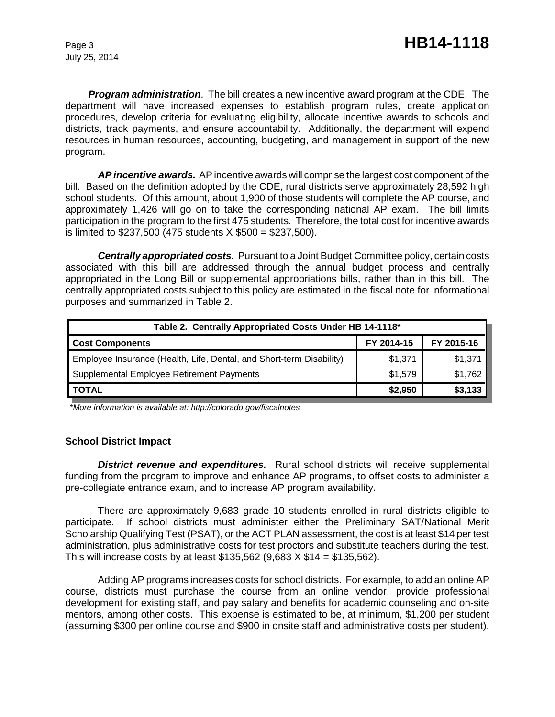July 25, 2014

*Program administration*. The bill creates a new incentive award program at the CDE. The department will have increased expenses to establish program rules, create application procedures, develop criteria for evaluating eligibility, allocate incentive awards to schools and districts, track payments, and ensure accountability. Additionally, the department will expend resources in human resources, accounting, budgeting, and management in support of the new program.

AP incentive awards. AP incentive awards will comprise the largest cost component of the bill. Based on the definition adopted by the CDE, rural districts serve approximately 28,592 high school students. Of this amount, about 1,900 of those students will complete the AP course, and approximately 1,426 will go on to take the corresponding national AP exam. The bill limits participation in the program to the first 475 students. Therefore, the total cost for incentive awards is limited to \$237,500 (475 students X \$500 = \$237,500).

*Centrally appropriated costs.* Pursuant to a Joint Budget Committee policy, certain costs associated with this bill are addressed through the annual budget process and centrally appropriated in the Long Bill or supplemental appropriations bills, rather than in this bill. The centrally appropriated costs subject to this policy are estimated in the fiscal note for informational purposes and summarized in Table 2.

| Table 2. Centrally Appropriated Costs Under HB 14-1118*              |            |            |  |  |  |
|----------------------------------------------------------------------|------------|------------|--|--|--|
| <b>Cost Components</b>                                               | FY 2014-15 | FY 2015-16 |  |  |  |
| Employee Insurance (Health, Life, Dental, and Short-term Disability) | \$1,371    | \$1,371    |  |  |  |
| Supplemental Employee Retirement Payments                            | \$1,579    | \$1,762    |  |  |  |
| <b>TOTAL</b>                                                         | \$2,950    | \$3,133    |  |  |  |

 *\*More information is available at: http://colorado.gov/fiscalnotes*

#### **School District Impact**

*District revenue and expenditures.* Rural school districts will receive supplemental funding from the program to improve and enhance AP programs, to offset costs to administer a pre-collegiate entrance exam, and to increase AP program availability.

There are approximately 9,683 grade 10 students enrolled in rural districts eligible to participate. If school districts must administer either the Preliminary SAT/National Merit Scholarship Qualifying Test (PSAT), or the ACT PLAN assessment, the cost is at least \$14 per test administration, plus administrative costs for test proctors and substitute teachers during the test. This will increase costs by at least \$135,562 (9,683 X \$14 = \$135,562).

Adding AP programs increases costs for school districts. For example, to add an online AP course, districts must purchase the course from an online vendor, provide professional development for existing staff, and pay salary and benefits for academic counseling and on-site mentors, among other costs. This expense is estimated to be, at minimum, \$1,200 per student (assuming \$300 per online course and \$900 in onsite staff and administrative costs per student).